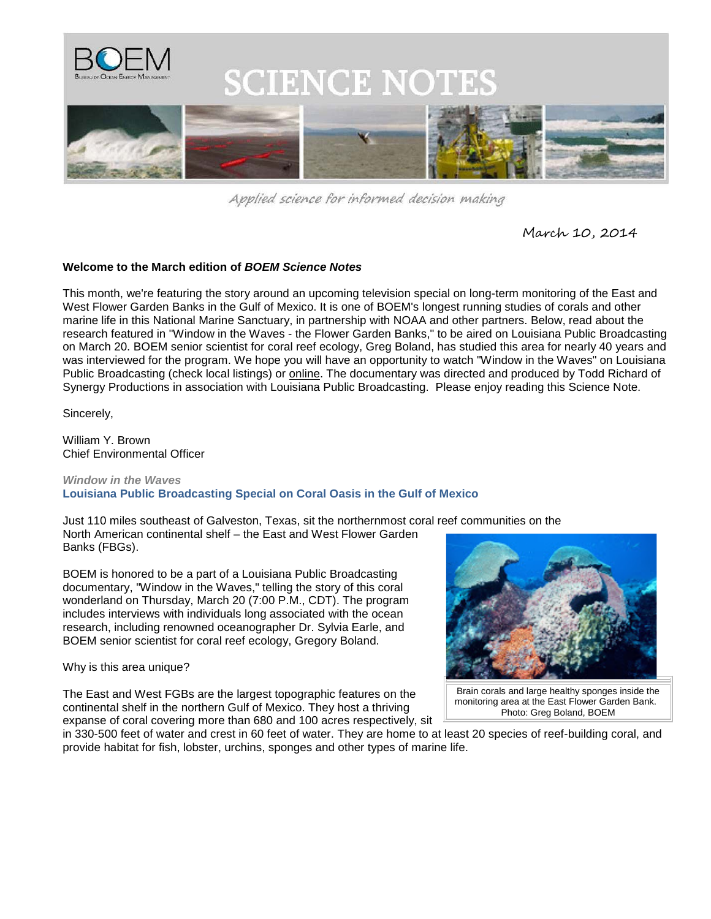

Applied science for informed decision making

March 10, 2014

## **Welcome to the March edition of** *BOEM Science Notes*

This month, we're featuring the story around an upcoming television special on long-term monitoring of the East and West Flower Garden Banks in the Gulf of Mexico. It is one of BOEM's longest running studies of corals and other marine life in this National Marine Sanctuary, in partnership with NOAA and other partners. Below, read about the research featured in "Window in the Waves - the Flower Garden Banks," to be aired on Louisiana Public Broadcasting on March 20. BOEM senior scientist for coral reef ecology, Greg Boland, has studied this area for nearly 40 years and was interviewed for the program. We hope you will have an opportunity to watch "Window in the Waves" on Louisiana Public Broadcasting (check local listings) or [online.](http://lpb.org/waves) The documentary was directed and produced by Todd Richard of Synergy Productions in association with Louisiana Public Broadcasting. Please enjoy reading this Science Note.

Sincerely,

William Y. Brown Chief Environmental Officer

## *Window in the Waves* **Louisiana Public Broadcasting Special on Coral Oasis in the Gulf of Mexico**

Just 110 miles southeast of Galveston, Texas, sit the northernmost coral reef communities on the North American continental shelf – the East and West Flower Garden Banks (FBGs).

BOEM is honored to be a part of a Louisiana Public Broadcasting documentary, "Window in the Waves," telling the story of this coral wonderland on Thursday, March 20 (7:00 P.M., CDT). The program includes interviews with individuals long associated with the ocean research, including renowned oceanographer Dr. Sylvia Earle, and BOEM senior scientist for coral reef ecology, Gregory Boland.

Why is this area unique?

The East and West FGBs are the largest topographic features on the continental shelf in the northern Gulf of Mexico. They host a thriving expanse of coral covering more than 680 and 100 acres respectively, sit



Brain corals and large healthy sponges inside the monitoring area at the East Flower Garden Bank. Photo: Greg Boland, BOEM

in 330-500 feet of water and crest in 60 feet of water. They are home to at least 20 species of reef-building coral, and provide habitat for fish, lobster, urchins, sponges and other types of marine life.